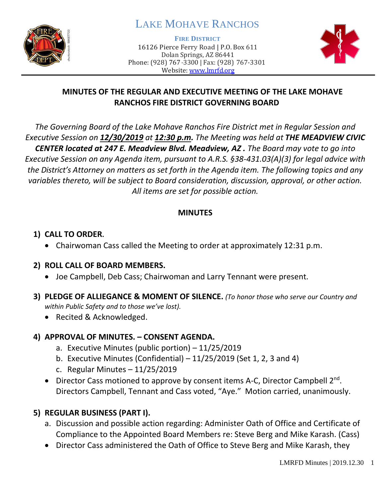

# LAKE MOHAVE RANCHOS

**FIRE DISTRICT**

16126 Pierce Ferry Road | P.O. Box 611 Dolan Springs, AZ 86441 Phone: (928) 767-3300 | Fax: (928) 767-3301 Website: [www.lmrfd.org](http://www.lmrfd.org/)



### **MINUTES OF THE REGULAR AND EXECUTIVE MEETING OF THE LAKE MOHAVE RANCHOS FIRE DISTRICT GOVERNING BOARD**

*The Governing Board of the Lake Mohave Ranchos Fire District met in Regular Session and Executive Session on 12/30/2019 at 12:30 p.m. The Meeting was held at THE MEADVIEW CIVIC CENTER located at 247 E. Meadview Blvd. Meadview, AZ . The Board may vote to go into Executive Session on any Agenda item, pursuant to A.R.S. §38-431.03(A)(3) for legal advice with the District's Attorney on matters as set forth in the Agenda item. The following topics and any variables thereto, will be subject to Board consideration, discussion, approval, or other action. All items are set for possible action.* 

### **MINUTES**

### **1) CALL TO ORDER.**

• Chairwoman Cass called the Meeting to order at approximately 12:31 p.m.

### **2) ROLL CALL OF BOARD MEMBERS.**

- Joe Campbell, Deb Cass; Chairwoman and Larry Tennant were present.
- **3) PLEDGE OF ALLIEGANCE & MOMENT OF SILENCE.** *(To honor those who serve our Country and within Public Safety and to those we've lost).*
	- Recited & Acknowledged.

### **4) APPROVAL OF MINUTES. – CONSENT AGENDA.**

- a. Executive Minutes (public portion) 11/25/2019
- b. Executive Minutes (Confidential)  $-11/25/2019$  (Set 1, 2, 3 and 4)
- c. Regular Minutes 11/25/2019
- Director Cass motioned to approve by consent items A-C, Director Campbell 2<sup>nd</sup>. Directors Campbell, Tennant and Cass voted, "Aye." Motion carried, unanimously.

### **5) REGULAR BUSINESS (PART I).**

- a. Discussion and possible action regarding: Administer Oath of Office and Certificate of Compliance to the Appointed Board Members re: Steve Berg and Mike Karash. (Cass)
- Director Cass administered the Oath of Office to Steve Berg and Mike Karash, they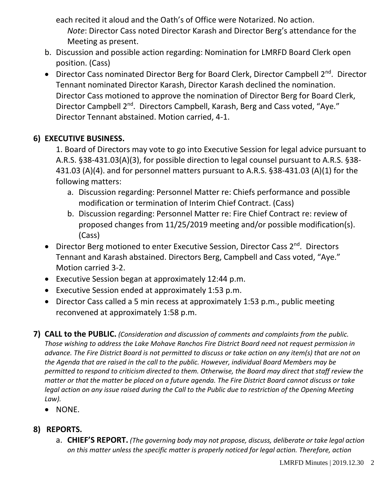each recited it aloud and the Oath's of Office were Notarized. No action.

*Note*: Director Cass noted Director Karash and Director Berg's attendance for the Meeting as present.

- b. Discussion and possible action regarding: Nomination for LMRFD Board Clerk open position. (Cass)
- Director Cass nominated Director Berg for Board Clerk, Director Campbell 2<sup>nd</sup>. Director Tennant nominated Director Karash, Director Karash declined the nomination. Director Cass motioned to approve the nomination of Director Berg for Board Clerk, Director Campbell 2<sup>nd</sup>. Directors Campbell, Karash, Berg and Cass voted, "Aye." Director Tennant abstained. Motion carried, 4-1.

## **6) EXECUTIVE BUSINESS.**

1. Board of Directors may vote to go into Executive Session for legal advice pursuant to A.R.S. §38-431.03(A)(3), for possible direction to legal counsel pursuant to A.R.S. §38- 431.03 (A)(4). and for personnel matters pursuant to A.R.S. §38-431.03 (A)(1) for the following matters:

- a. Discussion regarding: Personnel Matter re: Chiefs performance and possible modification or termination of Interim Chief Contract. (Cass)
- b. Discussion regarding: Personnel Matter re: Fire Chief Contract re: review of proposed changes from 11/25/2019 meeting and/or possible modification(s). (Cass)
- Director Berg motioned to enter Executive Session, Director Cass 2<sup>nd</sup>. Directors Tennant and Karash abstained. Directors Berg, Campbell and Cass voted, "Aye." Motion carried 3-2.
- Executive Session began at approximately 12:44 p.m.
- Executive Session ended at approximately 1:53 p.m.
- Director Cass called a 5 min recess at approximately 1:53 p.m., public meeting reconvened at approximately 1:58 p.m.
- **7) CALL to the PUBLIC.** *(Consideration and discussion of comments and complaints from the public. Those wishing to address the Lake Mohave Ranchos Fire District Board need not request permission in advance. The Fire District Board is not permitted to discuss or take action on any item(s) that are not on the Agenda that are raised in the call to the public. However, individual Board Members may be permitted to respond to criticism directed to them. Otherwise, the Board may direct that staff review the matter or that the matter be placed on a future agenda. The Fire District Board cannot discuss or take legal action on any issue raised during the Call to the Public due to restriction of the Opening Meeting Law).*
	- NONE.

## **8) REPORTS.**

a. **CHIEF'S REPORT.** *(The governing body may not propose, discuss, deliberate or take legal action on this matter unless the specific matter is properly noticed for legal action. Therefore, action*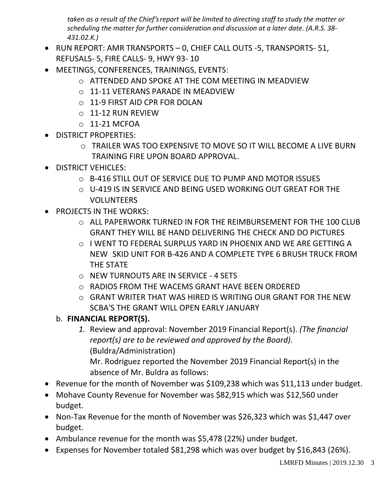*taken as a result of the Chief's report will be limited to directing staff to study the matter or scheduling the matter for further consideration and discussion at a later date. (A.R.S. 38- 431.02.K.)*

- RUN REPORT: AMR TRANSPORTS 0, CHIEF CALL OUTS -5, TRANSPORTS- 51, REFUSALS- 5, FIRE CALLS- 9, HWY 93- 10
- MEETINGS, CONFERENCES, TRAININGS, EVENTS:
	- o ATTENDED AND SPOKE AT THE COM MEETING IN MEADVIEW
	- o 11-11 VETERANS PARADE IN MEADVIEW
	- o 11-9 FIRST AID CPR FOR DOLAN
	- o 11-12 RUN REVIEW
	- $O$  11-21 MCFOA
- DISTRICT PROPERTIES:
	- o TRAILER WAS TOO EXPENSIVE TO MOVE SO IT WILL BECOME A LIVE BURN TRAINING FIRE UPON BOARD APPROVAL.
- DISTRICT VEHICLES:
	- o B-416 STILL OUT OF SERVICE DUE TO PUMP AND MOTOR ISSUES
	- $\circ$  U-419 IS IN SERVICE AND BEING USED WORKING OUT GREAT FOR THE VOLUNTEERS
- PROJECTS IN THE WORKS:
	- o ALL PAPERWORK TURNED IN FOR THE REIMBURSEMENT FOR THE 100 CLUB GRANT THEY WILL BE HAND DELIVERING THE CHECK AND DO PICTURES
	- $\circ$  I WENT TO FEDERAL SURPLUS YARD IN PHOENIX AND WE ARE GETTING A NEW SKID UNIT FOR B-426 AND A COMPLETE TYPE 6 BRUSH TRUCK FROM THE STATE
	- o NEW TURNOUTS ARE IN SERVICE 4 SETS
	- o RADIOS FROM THE WACEMS GRANT HAVE BEEN ORDERED
	- o GRANT WRITER THAT WAS HIRED IS WRITING OUR GRANT FOR THE NEW SCBA'S THE GRANT WILL OPEN EARLY JANUARY
	- b. **FINANCIAL REPORT(S).**
		- *1.* Review and approval: November 2019 Financial Report(s). *(The financial report(s) are to be reviewed and approved by the Board).* (Buldra/Administration) Mr. Rodriguez reported the November 2019 Financial Report(s) in the absence of Mr. Buldra as follows:
- Revenue for the month of November was \$109,238 which was \$11,113 under budget.
- Mohave County Revenue for November was \$82,915 which was \$12,560 under budget.
- Non-Tax Revenue for the month of November was \$26,323 which was \$1,447 over budget.
- Ambulance revenue for the month was \$5,478 (22%) under budget.
- Expenses for November totaled \$81,298 which was over budget by \$16,843 (26%).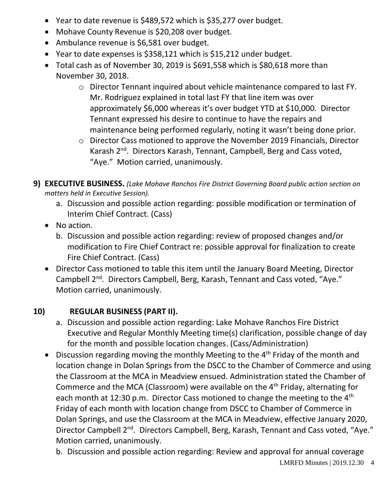- Year to date revenue is \$489,572 which is \$35,277 over budget.
- Mohave County Revenue is \$20,208 over budget.
- Ambulance revenue is \$6,581 over budget.
- Year to date expenses is \$358,121 which is \$15,212 under budget.
- Total cash as of November 30, 2019 is \$691,558 which is \$80,618 more than November 30, 2018.
	- o Director Tennant inquired about vehicle maintenance compared to last FY. Mr. Rodriguez explained in total last FY that line item was over approximately \$6,000 whereas it's over budget YTD at \$10,000. Director Tennant expressed his desire to continue to have the repairs and maintenance being performed regularly, noting it wasn't being done prior.
	- o Director Cass motioned to approve the November 2019 Financials, Director Karash 2<sup>nd</sup>. Directors Karash, Tennant, Campbell, Berg and Cass voted, "Aye." Motion carried, unanimously.

**9) EXECUTIVE BUSINESS.** *(Lake Mohave Ranchos Fire District Governing Board public action section on matters held in Executive Session).*

- a. Discussion and possible action regarding: possible modification or termination of Interim Chief Contract. (Cass)
- No action.
	- b. Discussion and possible action regarding: review of proposed changes and/or modification to Fire Chief Contract re: possible approval for finalization to create Fire Chief Contract. (Cass)
- Director Cass motioned to table this item until the January Board Meeting, Director Campbell 2nd. Directors Campbell, Berg, Karash, Tennant and Cass voted, "Aye." Motion carried, unanimously.

## **10) REGULAR BUSINESS (PART II).**

- a. Discussion and possible action regarding: Lake Mohave Ranchos Fire District Executive and Regular Monthly Meeting time(s) clarification, possible change of day for the month and possible location changes. (Cass/Administration)
- Discussion regarding moving the monthly Meeting to the  $4<sup>th</sup>$  Friday of the month and location change in Dolan Springs from the DSCC to the Chamber of Commerce and using the Classroom at the MCA in Meadview ensued. Administration stated the Chamber of Commerce and the MCA (Classroom) were available on the  $4<sup>th</sup>$  Friday, alternating for each month at 12:30 p.m. Director Cass motioned to change the meeting to the 4<sup>th</sup> Friday of each month with location change from DSCC to Chamber of Commerce in Dolan Springs, and use the Classroom at the MCA in Meadview, effective January 2020, Director Campbell 2<sup>nd</sup>. Directors Campbell, Berg, Karash, Tennant and Cass voted, "Aye." Motion carried, unanimously.

b. Discussion and possible action regarding: Review and approval for annual coverage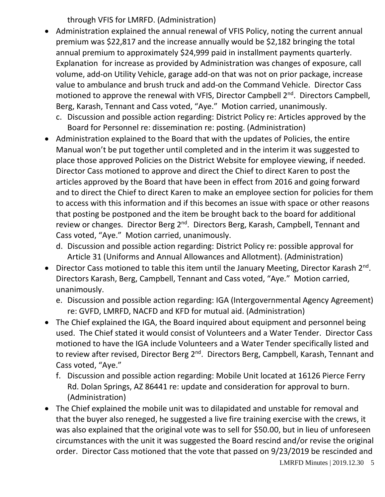through VFIS for LMRFD. (Administration)

- Administration explained the annual renewal of VFIS Policy, noting the current annual premium was \$22,817 and the increase annually would be \$2,182 bringing the total annual premium to approximately \$24,999 paid in installment payments quarterly. Explanation for increase as provided by Administration was changes of exposure, call volume, add-on Utility Vehicle, garage add-on that was not on prior package, increase value to ambulance and brush truck and add-on the Command Vehicle. Director Cass motioned to approve the renewal with VFIS, Director Campbell 2<sup>nd</sup>. Directors Campbell, Berg, Karash, Tennant and Cass voted, "Aye." Motion carried, unanimously.
	- c. Discussion and possible action regarding: District Policy re: Articles approved by the Board for Personnel re: dissemination re: posting. (Administration)
- Administration explained to the Board that with the updates of Policies, the entire Manual won't be put together until completed and in the interim it was suggested to place those approved Policies on the District Website for employee viewing, if needed. Director Cass motioned to approve and direct the Chief to direct Karen to post the articles approved by the Board that have been in effect from 2016 and going forward and to direct the Chief to direct Karen to make an employee section for policies for them to access with this information and if this becomes an issue with space or other reasons that posting be postponed and the item be brought back to the board for additional review or changes. Director Berg 2<sup>nd</sup>. Directors Berg, Karash, Campbell, Tennant and Cass voted, "Aye." Motion carried, unanimously.
	- d. Discussion and possible action regarding: District Policy re: possible approval for Article 31 (Uniforms and Annual Allowances and Allotment). (Administration)
- Director Cass motioned to table this item until the January Meeting, Director Karash 2<sup>nd</sup>. Directors Karash, Berg, Campbell, Tennant and Cass voted, "Aye." Motion carried, unanimously.
	- e. Discussion and possible action regarding: IGA (Intergovernmental Agency Agreement) re: GVFD, LMRFD, NACFD and KFD for mutual aid. (Administration)
- The Chief explained the IGA, the Board inquired about equipment and personnel being used. The Chief stated it would consist of Volunteers and a Water Tender. Director Cass motioned to have the IGA include Volunteers and a Water Tender specifically listed and to review after revised, Director Berg 2<sup>nd</sup>. Directors Berg, Campbell, Karash, Tennant and Cass voted, "Aye."
	- f. Discussion and possible action regarding: Mobile Unit located at 16126 Pierce Ferry Rd. Dolan Springs, AZ 86441 re: update and consideration for approval to burn. (Administration)
- The Chief explained the mobile unit was to dilapidated and unstable for removal and that the buyer also reneged, he suggested a live fire training exercise with the crews, it was also explained that the original vote was to sell for \$50.00, but in lieu of unforeseen circumstances with the unit it was suggested the Board rescind and/or revise the original order. Director Cass motioned that the vote that passed on 9/23/2019 be rescinded and